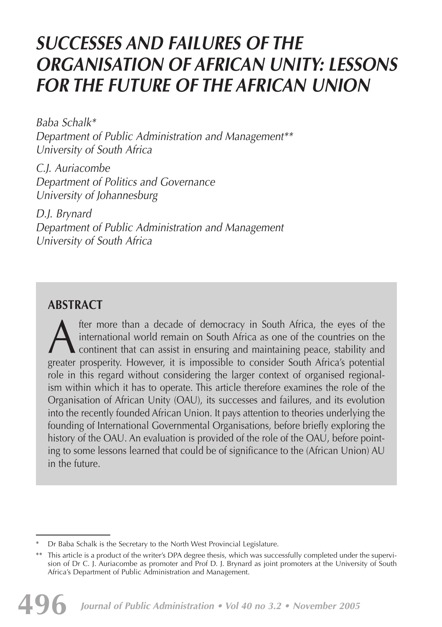# *SUCCESSES AND FAILURES OF THE ORGANISATION OF AFRICAN UNITY: LESSONS FOR THE FUTURE OF THE AFRICAN UNION*

*Baba Schalk\* Department of Public Administration and Management\*\* University of South Africa* 

*C.J. Auriacombe Department of Politics and Governance University of Johannesburg*

*D.J. Brynard Department of Public Administration and Management University of South Africa*

## **ABSTRACT**

A therefore than a decade of democracy in South Africa, the eyes of the<br>international world remain on South Africa as one of the countries on the<br>continent that can assist in ensuring and maintaining peace, stability and<br>g international world remain on South Africa as one of the countries on the continent that can assist in ensuring and maintaining peace, stability and greater prosperity. However, it is impossible to consider South Africa's potential role in this regard without considering the larger context of organised regionalism within which it has to operate. This article therefore examines the role of the Organisation of African Unity (OAU), its successes and failures, and its evolution into the recently founded African Union. It pays attention to theories underlying the founding of International Governmental Organisations, before briefly exploring the history of the OAU. An evaluation is provided of the role of the OAU, before pointing to some lessons learned that could be of significance to the (African Union) AU in the future.

Dr Baba Schalk is the Secretary to the North West Provincial Legislature.

<sup>\*\*</sup> This article is a product of the writer's DPA degree thesis, which was successfully completed under the supervision of Dr C. J. Auriacombe as promoter and Prof D. J. Brynard as joint promoters at the University of South Africa's Department of Public Administration and Management.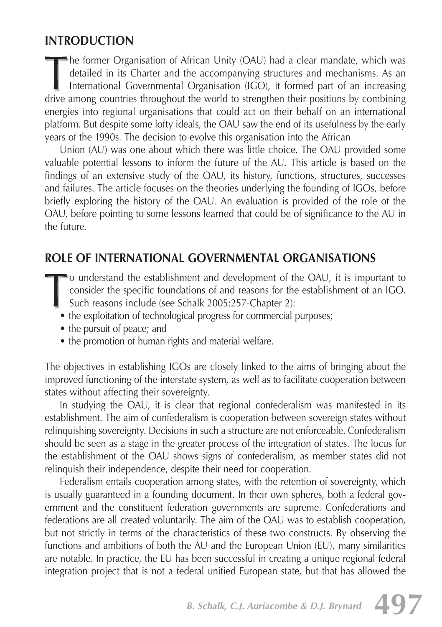## **INTRODUCTION**

he former Organisation of African Unity (OAU) had a clear mandate, which was detailed in its Charter and the accompanying structures and mechanisms. As an International Governmental Organisation (IGO), it formed part of an increasing drive among countries throughout the world to strengthen their positions by combining energies into regional organisations that could act on their behalf on an international platform. But despite some lofty ideals, the OAU saw the end of its usefulness by the early years of the 1990s. The decision to evolve this organisation into the African

Union (AU) was one about which there was little choice. The OAU provided some valuable potential lessons to inform the future of the AU. This article is based on the findings of an extensive study of the OAU, its history, functions, structures, successes and failures. The article focuses on the theories underlying the founding of IGOs, before briefly exploring the history of the OAU. An evaluation is provided of the role of the OAU, before pointing to some lessons learned that could be of significance to the AU in the future.

## **ROLE OF INTERNATIONAL GOVERNMENTAL ORGANISATIONS**

- $\blacksquare$  o understand the establishment and development of the OAU, it is important to consider the specific foundations of and reasons for the establishment of an IGO. Such reasons include (see Schalk 2005:257-Chapter 2):
	- the exploitation of technological progress for commercial purposes;
	- the pursuit of peace; and
	- the promotion of human rights and material welfare.

The objectives in establishing IGOs are closely linked to the aims of bringing about the improved functioning of the interstate system, as well as to facilitate cooperation between states without affecting their sovereignty.

In studying the OAU, it is clear that regional confederalism was manifested in its establishment. The aim of confederalism is cooperation between sovereign states without relinquishing sovereignty. Decisions in such a structure are not enforceable. Confederalism should be seen as a stage in the greater process of the integration of states. The locus for the establishment of the OAU shows signs of confederalism, as member states did not relinquish their independence, despite their need for cooperation.

Federalism entails cooperation among states, with the retention of sovereignty, which is usually guaranteed in a founding document. In their own spheres, both a federal government and the constituent federation governments are supreme. Confederations and federations are all created voluntarily. The aim of the OAU was to establish cooperation, but not strictly in terms of the characteristics of these two constructs. By observing the functions and ambitions of both the AU and the European Union (EU), many similarities are notable. In practice, the EU has been successful in creating a unique regional federal integration project that is not a federal unified European state, but that has allowed the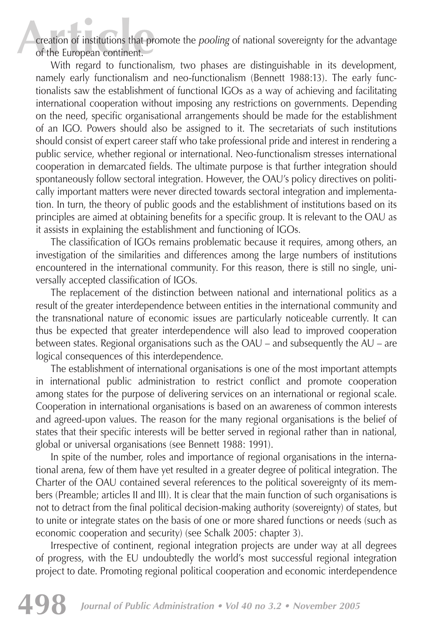**Article** creation of institutions that promote the *pooling* of national sovereignty for the advantage of the European continent.

With regard to functionalism, two phases are distinguishable in its development, namely early functionalism and neo-functionalism (Bennett 1988:13). The early functionalists saw the establishment of functional IGOs as a way of achieving and facilitating international cooperation without imposing any restrictions on governments. Depending on the need, specific organisational arrangements should be made for the establishment of an IGO. Powers should also be assigned to it. The secretariats of such institutions should consist of expert career staff who take professional pride and interest in rendering a public service, whether regional or international. Neo-functionalism stresses international cooperation in demarcated fields. The ultimate purpose is that further integration should spontaneously follow sectoral integration. However, the OAU's policy directives on politically important matters were never directed towards sectoral integration and implementation. In turn, the theory of public goods and the establishment of institutions based on its principles are aimed at obtaining benefits for a specific group. It is relevant to the OAU as it assists in explaining the establishment and functioning of IGOs.

The classification of IGOs remains problematic because it requires, among others, an investigation of the similarities and differences among the large numbers of institutions encountered in the international community. For this reason, there is still no single, universally accepted classification of IGOs.

The replacement of the distinction between national and international politics as a result of the greater interdependence between entities in the international community and the transnational nature of economic issues are particularly noticeable currently. It can thus be expected that greater interdependence will also lead to improved cooperation between states. Regional organisations such as the OAU – and subsequently the AU – are logical consequences of this interdependence.

The establishment of international organisations is one of the most important attempts in international public administration to restrict conflict and promote cooperation among states for the purpose of delivering services on an international or regional scale. Cooperation in international organisations is based on an awareness of common interests and agreed-upon values. The reason for the many regional organisations is the belief of states that their specific interests will be better served in regional rather than in national, global or universal organisations (see Bennett 1988: 1991).

In spite of the number, roles and importance of regional organisations in the international arena, few of them have yet resulted in a greater degree of political integration. The Charter of the OAU contained several references to the political sovereignty of its members (Preamble; articles II and III). It is clear that the main function of such organisations is not to detract from the final political decision-making authority (sovereignty) of states, but to unite or integrate states on the basis of one or more shared functions or needs (such as economic cooperation and security) (see Schalk 2005: chapter 3).

Irrespective of continent, regional integration projects are under way at all degrees of progress, with the EU undoubtedly the world's most successful regional integration project to date. Promoting regional political cooperation and economic interdependence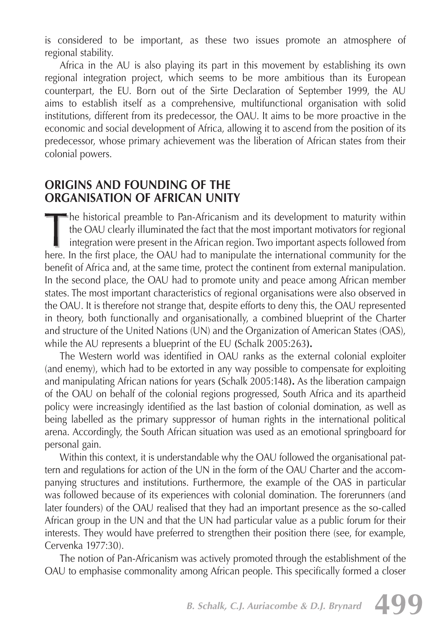is considered to be important, as these two issues promote an atmosphere of regional stability.

Africa in the AU is also playing its part in this movement by establishing its own regional integration project, which seems to be more ambitious than its European counterpart, the EU. Born out of the Sirte Declaration of September 1999, the AU aims to establish itself as a comprehensive, multifunctional organisation with solid institutions, different from its predecessor, the OAU. It aims to be more proactive in the economic and social development of Africa, allowing it to ascend from the position of its predecessor, whose primary achievement was the liberation of African states from their colonial powers.

### **ORIGINS AND FOUNDING OF THE ORGANISATION OF AFRICAN UNITY**

he historical preamble to Pan-Africanism and its development to maturity within the OAU clearly illuminated the fact that the most important motivators for regional integration were present in the African region. Two important aspects followed from here. In the first place, the OAU had to manipulate the international community for the benefit of Africa and, at the same time, protect the continent from external manipulation. In the second place, the OAU had to promote unity and peace among African member states. The most important characteristics of regional organisations were also observed in the OAU. It is therefore not strange that, despite efforts to deny this, the OAU represented in theory, both functionally and organisationally, a combined blueprint of the Charter and structure of the United Nations (UN) and the Organization of American States (OAS), while the AU represents a blueprint of the EU **(**Schalk 2005:263**).**

The Western world was identified in OAU ranks as the external colonial exploiter (and enemy), which had to be extorted in any way possible to compensate for exploiting and manipulating African nations for years **(**Schalk 2005:148**).** As the liberation campaign of the OAU on behalf of the colonial regions progressed, South Africa and its apartheid policy were increasingly identified as the last bastion of colonial domination, as well as being labelled as the primary suppressor of human rights in the international political arena. Accordingly, the South African situation was used as an emotional springboard for personal gain.

Within this context, it is understandable why the OAU followed the organisational pattern and regulations for action of the UN in the form of the OAU Charter and the accompanying structures and institutions. Furthermore, the example of the OAS in particular was followed because of its experiences with colonial domination. The forerunners (and later founders) of the OAU realised that they had an important presence as the so-called African group in the UN and that the UN had particular value as a public forum for their interests. They would have preferred to strengthen their position there (see, for example, Cervenka 1977:30).

The notion of Pan-Africanism was actively promoted through the establishment of the OAU to emphasise commonality among African people. This specifically formed a closer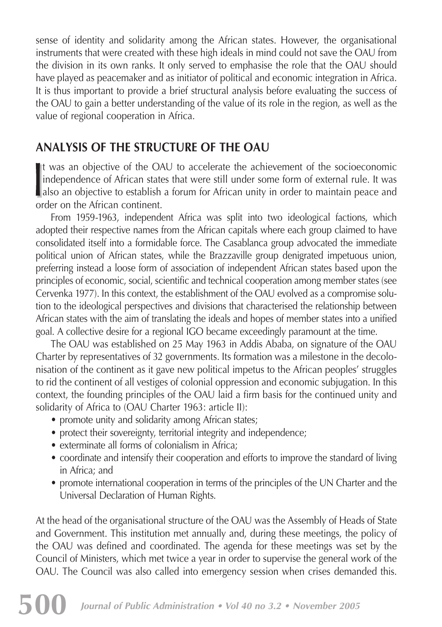sense of identity and solidarity among the African states. However, the organisational instruments that were created with these high ideals in mind could not save the OAU from the division in its own ranks. It only served to emphasise the role that the OAU should have played as peacemaker and as initiator of political and economic integration in Africa. It is thus important to provide a brief structural analysis before evaluating the success of the OAU to gain a better understanding of the value of its role in the region, as well as the value of regional cooperation in Africa.

# **ANALYSIS OF THE STRUCTURE OF THE OAU**

It was an objective of the OAU to accelerate the achievement of the socioeconomic independence of African states that were still under some form of external rule. It was **also an objective to establish a forum for African unity in order to maintain peace and** order on the African continent.

From 1959-1963, independent Africa was split into two ideological factions, which adopted their respective names from the African capitals where each group claimed to have consolidated itself into a formidable force. The Casablanca group advocated the immediate political union of African states, while the Brazzaville group denigrated impetuous union, preferring instead a loose form of association of independent African states based upon the principles of economic, social, scientific and technical cooperation among member states (see Cervenka 1977). In this context, the establishment of the OAU evolved as a compromise solution to the ideological perspectives and divisions that characterised the relationship between African states with the aim of translating the ideals and hopes of member states into a unified goal. A collective desire for a regional IGO became exceedingly paramount at the time.

The OAU was established on 25 May 1963 in Addis Ababa, on signature of the OAU Charter by representatives of 32 governments. Its formation was a milestone in the decolonisation of the continent as it gave new political impetus to the African peoples' struggles to rid the continent of all vestiges of colonial oppression and economic subjugation. In this context, the founding principles of the OAU laid a firm basis for the continued unity and solidarity of Africa to (OAU Charter 1963: article II):

- promote unity and solidarity among African states;
- protect their sovereignty, territorial integrity and independence;
- exterminate all forms of colonialism in Africa;
- coordinate and intensify their cooperation and efforts to improve the standard of living in Africa; and
- promote international cooperation in terms of the principles of the UN Charter and the Universal Declaration of Human Rights.

At the head of the organisational structure of the OAU was the Assembly of Heads of State and Government. This institution met annually and, during these meetings, the policy of the OAU was defined and coordinated. The agenda for these meetings was set by the Council of Ministers, which met twice a year in order to supervise the general work of the OAU. The Council was also called into emergency session when crises demanded this.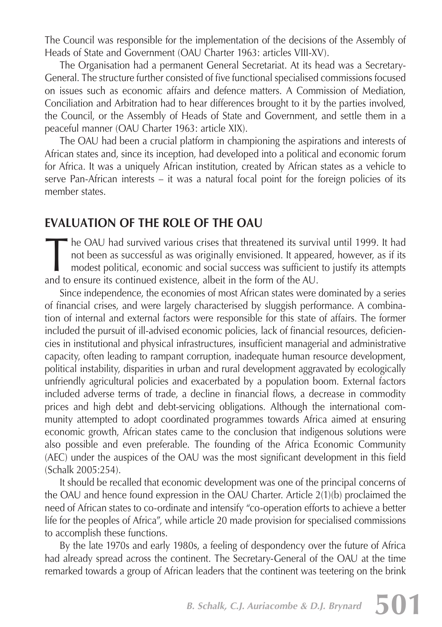The Council was responsible for the implementation of the decisions of the Assembly of Heads of State and Government (OAU Charter 1963: articles VIII-XV).

The Organisation had a permanent General Secretariat. At its head was a Secretary-General. The structure further consisted of five functional specialised commissions focused on issues such as economic affairs and defence matters. A Commission of Mediation, Conciliation and Arbitration had to hear differences brought to it by the parties involved, the Council, or the Assembly of Heads of State and Government, and settle them in a peaceful manner (OAU Charter 1963: article XIX).

The OAU had been a crucial platform in championing the aspirations and interests of African states and, since its inception, had developed into a political and economic forum for Africa. It was a uniquely African institution, created by African states as a vehicle to serve Pan-African interests – it was a natural focal point for the foreign policies of its member states.

## **EVALUATION OF THE ROLE OF THE OAU**

The OAU had survived various crises that threatened its survival until 1999. It had not been as successful as was originally envisioned. It appeared, however, as if its modest political, economic and social success was suf not been as successful as was originally envisioned. It appeared, however, as if its modest political, economic and social success was sufficient to justify its attempts and to ensure its continued existence, albeit in the form of the AU.

Since independence, the economies of most African states were dominated by a series of financial crises, and were largely characterised by sluggish performance. A combination of internal and external factors were responsible for this state of affairs. The former included the pursuit of ill-advised economic policies, lack of financial resources, deficiencies in institutional and physical infrastructures, insufficient managerial and administrative capacity, often leading to rampant corruption, inadequate human resource development, political instability, disparities in urban and rural development aggravated by ecologically unfriendly agricultural policies and exacerbated by a population boom. External factors included adverse terms of trade, a decline in financial flows, a decrease in commodity prices and high debt and debt-servicing obligations. Although the international community attempted to adopt coordinated programmes towards Africa aimed at ensuring economic growth, African states came to the conclusion that indigenous solutions were also possible and even preferable. The founding of the Africa Economic Community (AEC) under the auspices of the OAU was the most significant development in this field (Schalk 2005:254).

It should be recalled that economic development was one of the principal concerns of the OAU and hence found expression in the OAU Charter. Article 2(1)(b) proclaimed the need of African states to co-ordinate and intensify "co-operation efforts to achieve a better life for the peoples of Africa", while article 20 made provision for specialised commissions to accomplish these functions.

By the late 1970s and early 1980s, a feeling of despondency over the future of Africa had already spread across the continent. The Secretary-General of the OAU at the time remarked towards a group of African leaders that the continent was teetering on the brink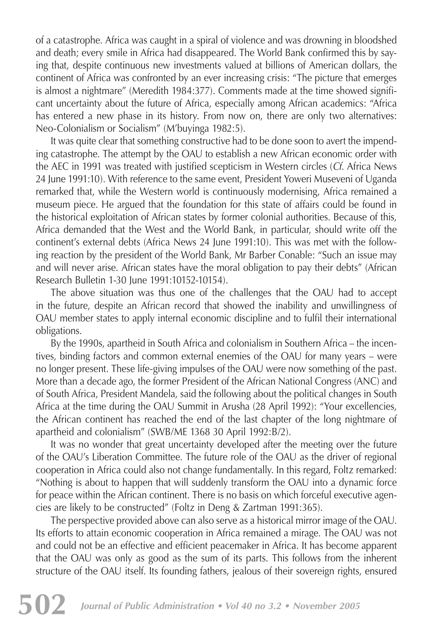of a catastrophe. Africa was caught in a spiral of violence and was drowning in bloodshed and death; every smile in Africa had disappeared. The World Bank confirmed this by saying that, despite continuous new investments valued at billions of American dollars, the continent of Africa was confronted by an ever increasing crisis: "The picture that emerges is almost a nightmare" (Meredith 1984:377). Comments made at the time showed significant uncertainty about the future of Africa, especially among African academics: "Africa has entered a new phase in its history. From now on, there are only two alternatives: Neo-Colonialism or Socialism" (M'buyinga 1982:5).

It was quite clear that something constructive had to be done soon to avert the impending catastrophe. The attempt by the OAU to establish a new African economic order with the AEC in 1991 was treated with justified scepticism in Western circles (*Cf*. Africa News 24 June 1991:10). With reference to the same event, President Yoweri Museveni of Uganda remarked that, while the Western world is continuously modernising, Africa remained a museum piece. He argued that the foundation for this state of affairs could be found in the historical exploitation of African states by former colonial authorities. Because of this, Africa demanded that the West and the World Bank, in particular, should write off the continent's external debts (Africa News 24 June 1991:10). This was met with the following reaction by the president of the World Bank, Mr Barber Conable: "Such an issue may and will never arise. African states have the moral obligation to pay their debts" (African Research Bulletin 1-30 June 1991:10152-10154).

The above situation was thus one of the challenges that the OAU had to accept in the future, despite an African record that showed the inability and unwillingness of OAU member states to apply internal economic discipline and to fulfil their international obligations.

By the 1990s, apartheid in South Africa and colonialism in Southern Africa – the incentives, binding factors and common external enemies of the OAU for many years – were no longer present. These life-giving impulses of the OAU were now something of the past. More than a decade ago, the former President of the African National Congress (ANC) and of South Africa, President Mandela, said the following about the political changes in South Africa at the time during the OAU Summit in Arusha (28 April 1992): "Your excellencies, the African continent has reached the end of the last chapter of the long nightmare of apartheid and colonialism" (SWB/ME 1368 30 April 1992:B/2).

It was no wonder that great uncertainty developed after the meeting over the future of the OAU's Liberation Committee. The future role of the OAU as the driver of regional cooperation in Africa could also not change fundamentally. In this regard, Foltz remarked: "Nothing is about to happen that will suddenly transform the OAU into a dynamic force for peace within the African continent. There is no basis on which forceful executive agencies are likely to be constructed" (Foltz in Deng & Zartman 1991:365).

The perspective provided above can also serve as a historical mirror image of the OAU. Its efforts to attain economic cooperation in Africa remained a mirage. The OAU was not and could not be an effective and efficient peacemaker in Africa. It has become apparent that the OAU was only as good as the sum of its parts. This follows from the inherent structure of the OAU itself. Its founding fathers, jealous of their sovereign rights, ensured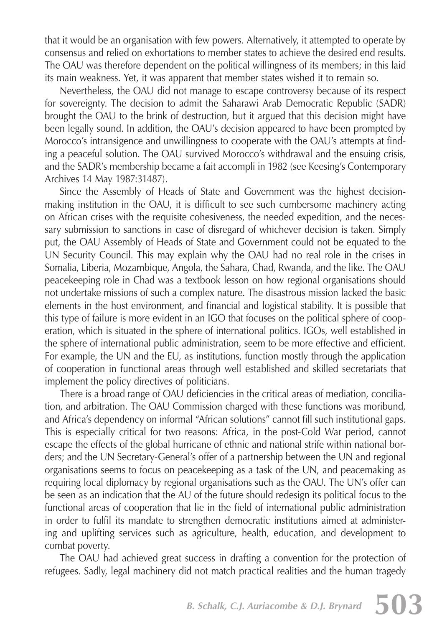that it would be an organisation with few powers. Alternatively, it attempted to operate by consensus and relied on exhortations to member states to achieve the desired end results. The OAU was therefore dependent on the political willingness of its members; in this laid its main weakness. Yet, it was apparent that member states wished it to remain so.

Nevertheless, the OAU did not manage to escape controversy because of its respect for sovereignty. The decision to admit the Saharawi Arab Democratic Republic (SADR) brought the OAU to the brink of destruction, but it argued that this decision might have been legally sound. In addition, the OAU's decision appeared to have been prompted by Morocco's intransigence and unwillingness to cooperate with the OAU's attempts at finding a peaceful solution. The OAU survived Morocco's withdrawal and the ensuing crisis, and the SADR's membership became a fait accompli in 1982 (see Keesing's Contemporary Archives 14 May 1987:31487)*.*

Since the Assembly of Heads of State and Government was the highest decisionmaking institution in the OAU, it is difficult to see such cumbersome machinery acting on African crises with the requisite cohesiveness, the needed expedition, and the necessary submission to sanctions in case of disregard of whichever decision is taken. Simply put, the OAU Assembly of Heads of State and Government could not be equated to the UN Security Council. This may explain why the OAU had no real role in the crises in Somalia, Liberia, Mozambique, Angola, the Sahara, Chad, Rwanda, and the like. The OAU peacekeeping role in Chad was a textbook lesson on how regional organisations should not undertake missions of such a complex nature. The disastrous mission lacked the basic elements in the host environment, and financial and logistical stability. It is possible that this type of failure is more evident in an IGO that focuses on the political sphere of cooperation, which is situated in the sphere of international politics. IGOs, well established in the sphere of international public administration, seem to be more effective and efficient. For example, the UN and the EU, as institutions, function mostly through the application of cooperation in functional areas through well established and skilled secretariats that implement the policy directives of politicians.

There is a broad range of OAU deficiencies in the critical areas of mediation, conciliation, and arbitration. The OAU Commission charged with these functions was moribund, and Africa's dependency on informal "African solutions" cannot fill such institutional gaps. This is especially critical for two reasons: Africa, in the post-Cold War period, cannot escape the effects of the global hurricane of ethnic and national strife within national borders; and the UN Secretary-General's offer of a partnership between the UN and regional organisations seems to focus on peacekeeping as a task of the UN, and peacemaking as requiring local diplomacy by regional organisations such as the OAU. The UN's offer can be seen as an indication that the AU of the future should redesign its political focus to the functional areas of cooperation that lie in the field of international public administration in order to fulfil its mandate to strengthen democratic institutions aimed at administering and uplifting services such as agriculture, health, education, and development to combat poverty.

The OAU had achieved great success in drafting a convention for the protection of refugees. Sadly, legal machinery did not match practical realities and the human tragedy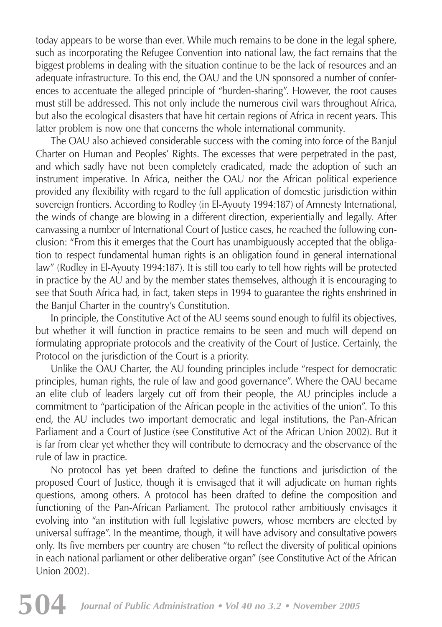today appears to be worse than ever. While much remains to be done in the legal sphere, such as incorporating the Refugee Convention into national law, the fact remains that the biggest problems in dealing with the situation continue to be the lack of resources and an adequate infrastructure. To this end, the OAU and the UN sponsored a number of conferences to accentuate the alleged principle of "burden-sharing". However, the root causes must still be addressed. This not only include the numerous civil wars throughout Africa, but also the ecological disasters that have hit certain regions of Africa in recent years. This latter problem is now one that concerns the whole international community.

The OAU also achieved considerable success with the coming into force of the Banjul Charter on Human and Peoples' Rights. The excesses that were perpetrated in the past, and which sadly have not been completely eradicated, made the adoption of such an instrument imperative. In Africa, neither the OAU nor the African political experience provided any flexibility with regard to the full application of domestic jurisdiction within sovereign frontiers. According to Rodley (in El-Ayouty 1994:187) of Amnesty International, the winds of change are blowing in a different direction, experientially and legally. After canvassing a number of International Court of Justice cases, he reached the following conclusion: "From this it emerges that the Court has unambiguously accepted that the obligation to respect fundamental human rights is an obligation found in general international law" (Rodley in El-Ayouty 1994:187). It is still too early to tell how rights will be protected in practice by the AU and by the member states themselves, although it is encouraging to see that South Africa had, in fact, taken steps in 1994 to guarantee the rights enshrined in the Banjul Charter in the country's Constitution.

In principle, the Constitutive Act of the AU seems sound enough to fulfil its objectives, but whether it will function in practice remains to be seen and much will depend on formulating appropriate protocols and the creativity of the Court of Justice. Certainly, the Protocol on the jurisdiction of the Court is a priority.

Unlike the OAU Charter, the AU founding principles include "respect for democratic principles, human rights, the rule of law and good governance". Where the OAU became an elite club of leaders largely cut off from their people, the AU principles include a commitment to "participation of the African people in the activities of the union". To this end, the AU includes two important democratic and legal institutions, the Pan-African Parliament and a Court of Justice (see Constitutive Act of the African Union 2002). But it is far from clear yet whether they will contribute to democracy and the observance of the rule of law in practice.

No protocol has yet been drafted to define the functions and jurisdiction of the proposed Court of Justice, though it is envisaged that it will adjudicate on human rights questions, among others. A protocol has been drafted to define the composition and functioning of the Pan-African Parliament. The protocol rather ambitiously envisages it evolving into "an institution with full legislative powers, whose members are elected by universal suffrage". In the meantime, though, it will have advisory and consultative powers only. Its five members per country are chosen "to reflect the diversity of political opinions in each national parliament or other deliberative organ" (see Constitutive Act of the African Union 2002).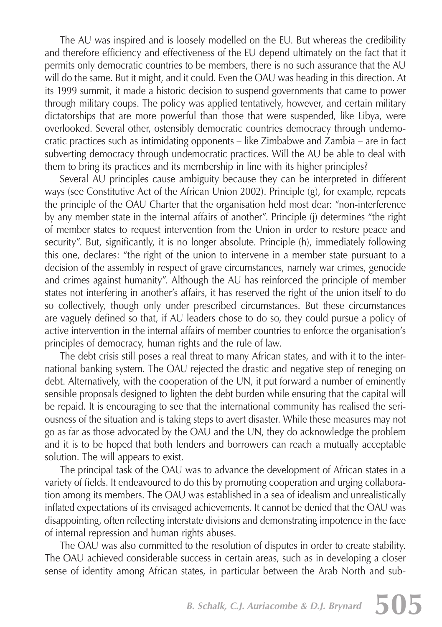The AU was inspired and is loosely modelled on the EU. But whereas the credibility and therefore efficiency and effectiveness of the EU depend ultimately on the fact that it permits only democratic countries to be members, there is no such assurance that the AU will do the same. But it might, and it could. Even the OAU was heading in this direction. At its 1999 summit, it made a historic decision to suspend governments that came to power through military coups. The policy was applied tentatively, however, and certain military dictatorships that are more powerful than those that were suspended, like Libya, were overlooked. Several other, ostensibly democratic countries democracy through undemocratic practices such as intimidating opponents – like Zimbabwe and Zambia – are in fact subverting democracy through undemocratic practices. Will the AU be able to deal with them to bring its practices and its membership in line with its higher principles?

Several AU principles cause ambiguity because they can be interpreted in different ways (see Constitutive Act of the African Union 2002). Principle (g), for example, repeats the principle of the OAU Charter that the organisation held most dear: "non-interference by any member state in the internal affairs of another". Principle (j) determines "the right of member states to request intervention from the Union in order to restore peace and security". But, significantly, it is no longer absolute. Principle (h), immediately following this one, declares: "the right of the union to intervene in a member state pursuant to a decision of the assembly in respect of grave circumstances, namely war crimes, genocide and crimes against humanity". Although the AU has reinforced the principle of member states not interfering in another's affairs, it has reserved the right of the union itself to do so collectively, though only under prescribed circumstances. But these circumstances are vaguely defined so that, if AU leaders chose to do so, they could pursue a policy of active intervention in the internal affairs of member countries to enforce the organisation's principles of democracy, human rights and the rule of law.

The debt crisis still poses a real threat to many African states, and with it to the international banking system. The OAU rejected the drastic and negative step of reneging on debt. Alternatively, with the cooperation of the UN, it put forward a number of eminently sensible proposals designed to lighten the debt burden while ensuring that the capital will be repaid. It is encouraging to see that the international community has realised the seriousness of the situation and is taking steps to avert disaster. While these measures may not go as far as those advocated by the OAU and the UN, they do acknowledge the problem and it is to be hoped that both lenders and borrowers can reach a mutually acceptable solution. The will appears to exist.

The principal task of the OAU was to advance the development of African states in a variety of fields. It endeavoured to do this by promoting cooperation and urging collaboration among its members. The OAU was established in a sea of idealism and unrealistically inflated expectations of its envisaged achievements. It cannot be denied that the OAU was disappointing, often reflecting interstate divisions and demonstrating impotence in the face of internal repression and human rights abuses.

The OAU was also committed to the resolution of disputes in order to create stability. The OAU achieved considerable success in certain areas, such as in developing a closer sense of identity among African states, in particular between the Arab North and sub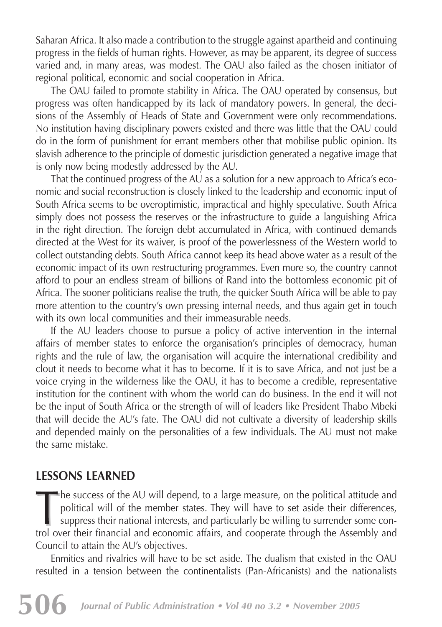Saharan Africa. It also made a contribution to the struggle against apartheid and continuing progress in the fields of human rights. However, as may be apparent, its degree of success varied and, in many areas, was modest. The OAU also failed as the chosen initiator of regional political, economic and social cooperation in Africa.

The OAU failed to promote stability in Africa. The OAU operated by consensus, but progress was often handicapped by its lack of mandatory powers. In general, the decisions of the Assembly of Heads of State and Government were only recommendations. No institution having disciplinary powers existed and there was little that the OAU could do in the form of punishment for errant members other that mobilise public opinion. Its slavish adherence to the principle of domestic jurisdiction generated a negative image that is only now being modestly addressed by the AU.

That the continued progress of the AU as a solution for a new approach to Africa's economic and social reconstruction is closely linked to the leadership and economic input of South Africa seems to be overoptimistic, impractical and highly speculative. South Africa simply does not possess the reserves or the infrastructure to guide a languishing Africa in the right direction. The foreign debt accumulated in Africa, with continued demands directed at the West for its waiver, is proof of the powerlessness of the Western world to collect outstanding debts. South Africa cannot keep its head above water as a result of the economic impact of its own restructuring programmes. Even more so, the country cannot afford to pour an endless stream of billions of Rand into the bottomless economic pit of Africa. The sooner politicians realise the truth, the quicker South Africa will be able to pay more attention to the country's own pressing internal needs, and thus again get in touch with its own local communities and their immeasurable needs.

If the AU leaders choose to pursue a policy of active intervention in the internal affairs of member states to enforce the organisation's principles of democracy, human rights and the rule of law, the organisation will acquire the international credibility and clout it needs to become what it has to become. If it is to save Africa, and not just be a voice crying in the wilderness like the OAU, it has to become a credible, representative institution for the continent with whom the world can do business. In the end it will not be the input of South Africa or the strength of will of leaders like President Thabo Mbeki that will decide the AU's fate. The OAU did not cultivate a diversity of leadership skills and depended mainly on the personalities of a few individuals. The AU must not make the same mistake.

## **LESSONS LEARNED**

he success of the AU will depend, to a large measure, on the political attitude and political will of the member states. They will have to set aside their differences, suppress their national interests, and particularly be willing to surrender some control over their financial and economic affairs, and cooperate through the Assembly and Council to attain the AU's objectives.

Enmities and rivalries will have to be set aside. The dualism that existed in the OAU resulted in a tension between the continentalists (Pan-Africanists) and the nationalists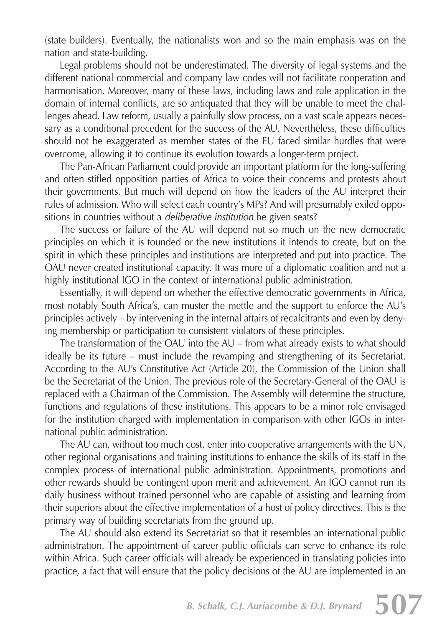(state builders). Eventually, the nationalists won and so the main emphasis was on the nation and state-building.

Legal problems should not be underestimated. The diversity of legal systems and the different national commercial and company law codes will not facilitate cooperation and harmonisation. Moreover, many of these laws, including laws and rule application in the domain of internal conflicts, are so antiquated that they will be unable to meet the challenges ahead. Law reform, usually a painfully slow process, on a vast scale appears necessary as a conditional precedent for the success of the AU. Nevertheless, these difficulties should not be exaggerated as member states of the EU faced similar hurdles that were overcome, allowing it to continue its evolution towards a longer-term project.

The Pan-African Parliament could provide an important platform for the long-suffering and often stifled opposition parties of Africa to voice their concerns and protests about their governments. But much will depend on how the leaders of the AU interpret their rules of admission. Who will select each country's MPs? And will presumably exiled oppositions in countries without a *deliberative institution* be given seats?

The success or failure of the AU will depend not so much on the new democratic principles on which it is founded or the new institutions it intends to create, but on the spirit in which these principles and institutions are interpreted and put into practice. The OAU never created institutional capacity. It was more of a diplomatic coalition and not a highly institutional IGO in the context of international public administration.

Essentially, it will depend on whether the effective democratic governments in Africa, most notably South Africa's, can muster the mettle and the support to enforce the AU's principles actively – by intervening in the internal affairs of recalcitrants and even by denying membership or participation to consistent violators of these principles.

The transformation of the OAU into the AU – from what already exists to what should ideally be its future – must include the revamping and strengthening of its Secretariat. According to the AU's Constitutive Act (Article 20), the Commission of the Union shall be the Secretariat of the Union. The previous role of the Secretary-General of the OAU is replaced with a Chairman of the Commission. The Assembly will determine the structure, functions and regulations of these institutions. This appears to be a minor role envisaged for the institution charged with implementation in comparison with other IGOs in international public administration.

The AU can, without too much cost, enter into cooperative arrangements with the UN, other regional organisations and training institutions to enhance the skills of its staff in the complex process of international public administration. Appointments, promotions and other rewards should be contingent upon merit and achievement. An IGO cannot run its daily business without trained personnel who are capable of assisting and learning from their superiors about the effective implementation of a host of policy directives. This is the primary way of building secretariats from the ground up.

The AU should also extend its Secretariat so that it resembles an international public administration. The appointment of career public officials can serve to enhance its role within Africa. Such career officials will already be experienced in translating policies into practice, a fact that will ensure that the policy decisions of the AU are implemented in an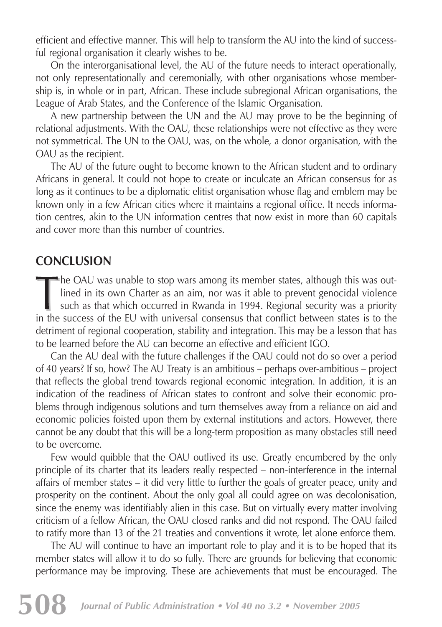efficient and effective manner. This will help to transform the AU into the kind of successful regional organisation it clearly wishes to be.

On the interorganisational level, the AU of the future needs to interact operationally, not only representationally and ceremonially, with other organisations whose membership is, in whole or in part, African. These include subregional African organisations, the League of Arab States, and the Conference of the Islamic Organisation.

A new partnership between the UN and the AU may prove to be the beginning of relational adjustments. With the OAU, these relationships were not effective as they were not symmetrical. The UN to the OAU, was, on the whole, a donor organisation, with the OAU as the recipient.

The AU of the future ought to become known to the African student and to ordinary Africans in general. It could not hope to create or inculcate an African consensus for as long as it continues to be a diplomatic elitist organisation whose flag and emblem may be known only in a few African cities where it maintains a regional office. It needs information centres, akin to the UN information centres that now exist in more than 60 capitals and cover more than this number of countries.

## **CONCLUSION**

he OAU was unable to stop wars among its member states, although this was outlined in its own Charter as an aim, nor was it able to prevent genocidal violence such as that which occurred in Rwanda in 1994. Regional security was a priority in the success of the EU with universal consensus that conflict between states is to the detriment of regional cooperation, stability and integration. This may be a lesson that has to be learned before the AU can become an effective and efficient IGO.

Can the AU deal with the future challenges if the OAU could not do so over a period of 40 years? If so, how? The AU Treaty is an ambitious – perhaps over-ambitious – project that reflects the global trend towards regional economic integration. In addition, it is an indication of the readiness of African states to confront and solve their economic problems through indigenous solutions and turn themselves away from a reliance on aid and economic policies foisted upon them by external institutions and actors. However, there cannot be any doubt that this will be a long-term proposition as many obstacles still need to be overcome.

Few would quibble that the OAU outlived its use. Greatly encumbered by the only principle of its charter that its leaders really respected – non-interference in the internal affairs of member states – it did very little to further the goals of greater peace, unity and prosperity on the continent. About the only goal all could agree on was decolonisation, since the enemy was identifiably alien in this case. But on virtually every matter involving criticism of a fellow African, the OAU closed ranks and did not respond. The OAU failed to ratify more than 13 of the 21 treaties and conventions it wrote, let alone enforce them.

The AU will continue to have an important role to play and it is to be hoped that its member states will allow it to do so fully. There are grounds for believing that economic performance may be improving. These are achievements that must be encouraged. The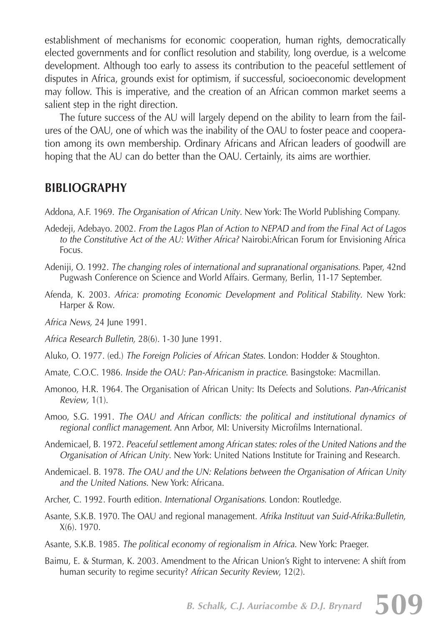establishment of mechanisms for economic cooperation, human rights, democratically elected governments and for conflict resolution and stability, long overdue, is a welcome development. Although too early to assess its contribution to the peaceful settlement of disputes in Africa, grounds exist for optimism, if successful, socioeconomic development may follow. This is imperative, and the creation of an African common market seems a salient step in the right direction.

The future success of the AU will largely depend on the ability to learn from the failures of the OAU, one of which was the inability of the OAU to foster peace and cooperation among its own membership. Ordinary Africans and African leaders of goodwill are hoping that the AU can do better than the OAU. Certainly, its aims are worthier.

#### **BIBLIOGRAPHY**

Addona, A.F. 1969. *The Organisation of African Unity.* New York: The World Publishing Company.

- Adedeji, Adebayo. 2002*. From the Lagos Plan of Action to NEPAD and from the Final Act of Lagos to the Constitutive Act of the AU: Wither Africa?* Nairobi:African Forum for Envisioning Africa Focus.
- Adeniji, O. 1992. *The changing roles of international and supranational organisations*. Paper, 42nd Pugwash Conference on Science and World Affairs. Germany, Berlin, 11-17 September.
- Afenda, K. 2003. *Africa: promoting Economic Development and Political Stability*. New York: Harper & Row.

*Africa News,* 24 June 1991.

*Africa Research Bulletin,* 28(6). 1-30 June 1991.

Aluko, O. 1977. (ed.) *The Foreign Policies of African States.* London: Hodder & Stoughton.

Amate, C.O.C. 1986. *Inside the OAU: Pan-Africanism in practice*. Basingstoke: Macmillan.

Amonoo, H.R. 1964. The Organisation of African Unity: Its Defects and Solutions. *Pan-Africanist Review,* 1(1).

Amoo, S.G. 1991. *The OAU and African conflicts: the political and institutional dynamics of regional conflict management.* Ann Arbor, MI: University Microfilms International.

Andemicael, B. 1972. *Peaceful settlement among African states: roles of the United Nations and the Organisation of African Unity*. New York: United Nations Institute for Training and Research.

Andemicael. B. 1978. *The OAU and the UN: Relations between the Organisation of African Unity and the United Nations.* New York: Africana.

Archer, C. 1992. Fourth edition. *International Organisations*. London: Routledge.

Asante, S.K.B. 1970. The OAU and regional management. *Afrika Instituut van Suid-Afrika:Bulletin*, X(6). 1970.

Asante, S.K.B. 1985. *The political economy of regionalism in Africa*. New York: Praeger.

Baimu, E. & Sturman, K. 2003. Amendment to the African Union's Right to intervene: A shift from human security to regime security? *African Security Review*, 12(2).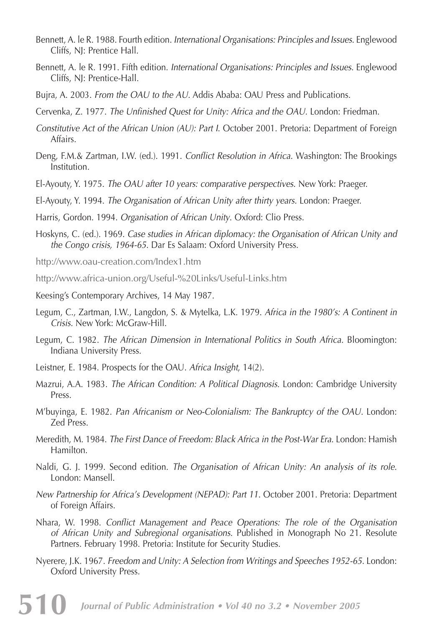- Bennett, A. le R. 1988. Fourth edition. *International Organisations: Principles and Issues*. Englewood Cliffs, NJ: Prentice Hall.
- Bennett, A. le R. 1991. Fifth edition. *International Organisations: Principles and Issues*. Englewood Cliffs, NJ: Prentice-Hall.
- Bujra, A. 2003. *From the OAU to the AU.* Addis Ababa: OAU Press and Publications.
- Cervenka, Z. 1977. *The Unfinished Quest for Unity: Africa and the OAU.* London: Friedman.
- *Constitutive Act of the African Union (AU): Part I*. October 2001. Pretoria: Department of Foreign Affairs.
- Deng, F.M.& Zartman, I.W. (ed.). 1991. *Conflict Resolution in Africa.* Washington: The Brookings Institution.
- El-Ayouty, Y. 1975. *The OAU after 10 years: comparative perspectives*. New York: Praeger.
- El-Ayouty, Y. 1994. *The Organisation of African Unity after thirty years.* London: Praeger.
- Harris, Gordon. 1994. *Organisation of African Unity*. Oxford: Clio Press.
- Hoskyns, C. (ed.). 1969. *Case studies in African diplomacy: the Organisation of African Unity and the Congo crisis, 1964-65*. Dar Es Salaam: Oxford University Press.

http://www.oau-creation.com/Index1.htm

- http://www.africa-union.org/Useful-%20Links/Useful-Links.htm
- Keesing's Contemporary Archives, 14 May 1987.
- Legum, C., Zartman, I.W., Langdon, S. & Mytelka, L.K. 1979. *Africa in the 1980's: A Continent in Crisis.* New York: McGraw-Hill.
- Legum, C. 1982. *The African Dimension in International Politics in South Africa. Bloomington:* Indiana University Press.
- Leistner, E. 1984. Prospects for the OAU. *Africa Insight*, 14(2).
- Mazrui, A.A. 1983. *The African Condition: A Political Diagnosis.* London: Cambridge University Press.
- M'buyinga, E. 1982. *Pan Africanism or Neo-Colonialism: The Bankruptcy of the OAU.* London: Zed Press.
- Meredith, M. 1984. *The First Dance of Freedom: Black Africa in the Post-War Era.* London: Hamish Hamilton.
- Naldi, G. J. 1999. Second edition. *The Organisation of African Unity: An analysis of its role.* London: Mansell.
- *New Partnership for Africa's Development (NEPAD): Part 11.* October 2001. Pretoria: Department of Foreign Affairs.
- Nhara, W. 1998. *Conflict Management and Peace Operations: The role of the Organisation of African Unity and Subregional organisations.* Published in Monograph No 21. Resolute Partners. February 1998. Pretoria: Institute for Security Studies.
- Nyerere, J.K. 1967. *Freedom and Unity: A Selection from Writings and Speeches 1952-65.* London: Oxford University Press.